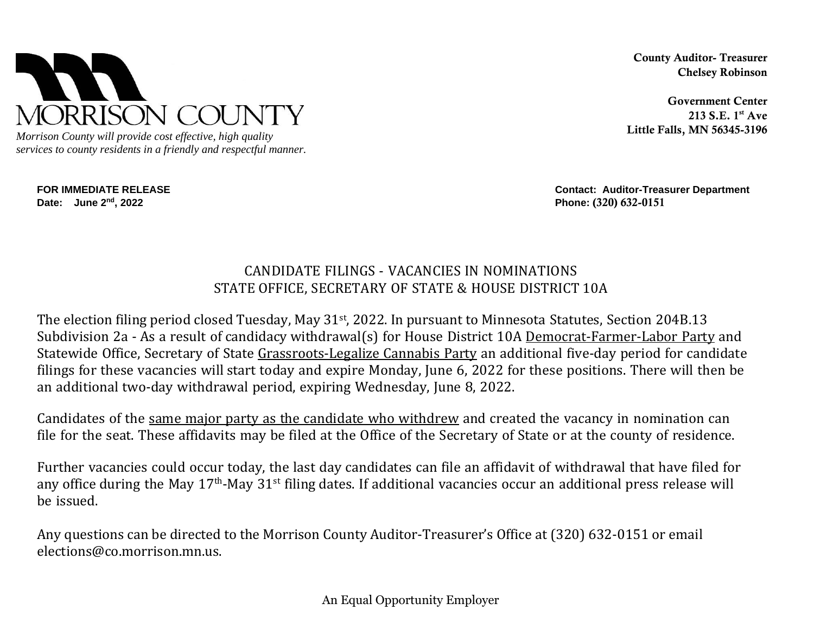

*Morrison County will provide cost effective, high quality services to county residents in a friendly and respectful manner.*

**Date: June 2nd, 2022 Phone:** (320) 632-0151

County Auditor- Treasurer Chelsey Robinson

Government Center 213 S.E. 1st Ave Little Falls, MN 56345-3196

**FOR IMMEDIATE RELEASE Contact: Auditor-Treasurer Department**

## CANDIDATE FILINGS - VACANCIES IN NOMINATIONS STATE OFFICE, SECRETARY OF STATE & HOUSE DISTRICT 10A

The election filing period closed Tuesday, May 31st, 2022. In pursuant to Minnesota Statutes, Section 204B.13 Subdivision 2a - As a result of candidacy withdrawal(s) for House District 10A Democrat-Farmer-Labor Party and Statewide Office, Secretary of State Grassroots-Legalize Cannabis Party an additional five-day period for candidate filings for these vacancies will start today and expire Monday, June 6, 2022 for these positions. There will then be an additional two-day withdrawal period, expiring Wednesday, June 8, 2022.

Candidates of the same major party as the candidate who withdrew and created the vacancy in nomination can file for the seat. These affidavits may be filed at the Office of the Secretary of State or at the county of residence.

Further vacancies could occur today, the last day candidates can file an affidavit of withdrawal that have filed for any office during the May 17<sup>th</sup>-May 31<sup>st</sup> filing dates. If additional vacancies occur an additional press release will be issued.

Any questions can be directed to the Morrison County Auditor-Treasurer's Office at (320) 632-0151 or email elections@co.morrison.mn.us.

An Equal Opportunity Employer